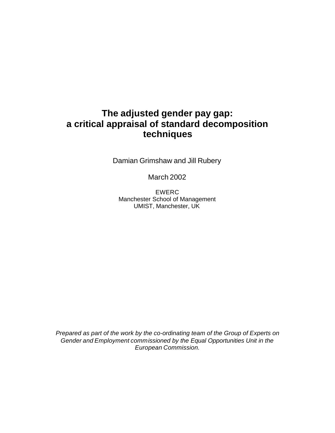# **The adjusted gender pay gap: a critical appraisal of standard decomposition techniques**

Damian Grimshaw and Jill Rubery

March 2002

EWERC Manchester School of Management UMIST, Manchester, UK

*Prepared as part of the work by the co-ordinating team of the Group of Experts on Gender and Employment commissioned by the Equal Opportunities Unit in the European Commission.*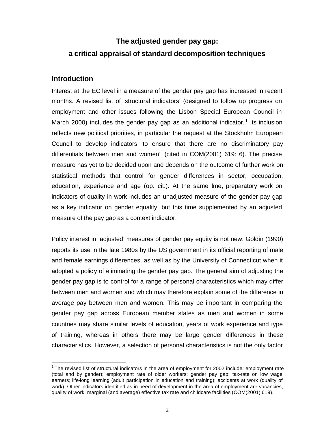# **The adjusted gender pay gap: a critical appraisal of standard decomposition techniques**

# **Introduction**

 $\overline{a}$ 

Interest at the EC level in a measure of the gender pay gap has increased in recent months. A revised list of 'structural indicators' (designed to follow up progress on employment and other issues following the Lisbon Special European Council in March 2000) includes the gender pay gap as an additional indicator.<sup>1</sup> Its inclusion reflects new political priorities, in particular the request at the Stockholm European Council to develop indicators 'to ensure that there are no discriminatory pay differentials between men and women' (cited in COM(2001) 619: 6). The precise measure has yet to be decided upon and depends on the outcome of further work on statistical methods that control for gender differences in sector, occupation, education, experience and age (op. cit.). At the same tme, preparatory work on indicators of quality in work includes an unadjusted measure of the gender pay gap as a key indicator on gender equality, but this time supplemented by an adjusted measure of the pay gap as a context indicator.

Policy interest in 'adjusted' measures of gender pay equity is not new. Goldin (1990) reports its use in the late 1980s by the US government in its official reporting of male and female earnings differences, as well as by the University of Connecticut when it adopted a policy of eliminating the gender pay gap. The general aim of adjusting the gender pay gap is to control for a range of personal characteristics which may differ between men and women and which may therefore explain some of the difference in average pay between men and women. This may be important in comparing the gender pay gap across European member states as men and women in some countries may share similar levels of education, years of work experience and type of training, whereas in others there may be large gender differences in these characteristics. However, a selection of personal characteristics is not the only factor

<sup>&</sup>lt;sup>1</sup> The revised list of structural indicators in the area of employment for 2002 include: employment rate (total and by gender); employment rate of older workers; gender pay gap; tax-rate on low wage earners; life-long learning (adult participation in education and training); accidents at work (quality of work). Other indicators identified as in need of development in the area of employment are vacancies, quality of work, marginal (and average) effective tax rate and childcare facilities (COM(2001) 619).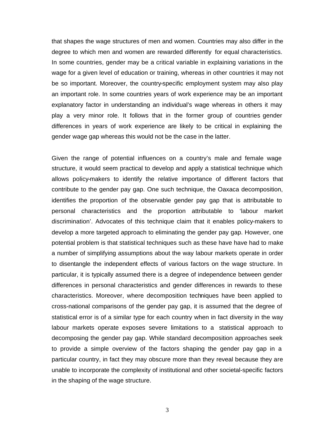that shapes the wage structures of men and women. Countries may also differ in the degree to which men and women are rewarded differently for equal characteristics. In some countries, gender may be a critical variable in explaining variations in the wage for a given level of education or training, whereas in other countries it may not be so important. Moreover, the country-specific employment system may also play an important role. In some countries years of work experience may be an important explanatory factor in understanding an individual's wage whereas in others it may play a very minor role. It follows that in the former group of countries gender differences in years of work experience are likely to be critical in explaining the gender wage gap whereas this would not be the case in the latter.

Given the range of potential influences on a country's male and female wage structure, it would seem practical to develop and apply a statistical technique which allows policy-makers to identify the relative importance of different factors that contribute to the gender pay gap. One such technique, the Oaxaca decomposition, identifies the proportion of the observable gender pay gap that is attributable to personal characteristics and the proportion attributable to 'labour market discrimination'. Advocates of this technique claim that it enables policy-makers to develop a more targeted approach to eliminating the gender pay gap. However, one potential problem is that statistical techniques such as these have have had to make a number of simplifying assumptions about the way labour markets operate in order to disentangle the independent effects of various factors on the wage structure. In particular, it is typically assumed there is a degree of independence between gender differences in personal characteristics and gender differences in rewards to these characteristics. Moreover, where decomposition techniques have been applied to cross-national comparisons of the gender pay gap, it is assumed that the degree of statistical error is of a similar type for each country when in fact diversity in the way labour markets operate exposes severe limitations to a statistical approach to decomposing the gender pay gap. While standard decomposition approaches seek to provide a simple overview of the factors shaping the gender pay gap in a particular country, in fact they may obscure more than they reveal because they are unable to incorporate the complexity of institutional and other societal-specific factors in the shaping of the wage structure.

3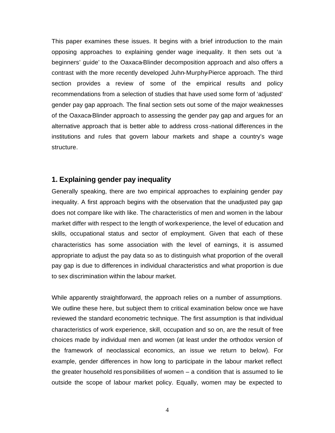This paper examines these issues. It begins with a brief introduction to the main opposing approaches to explaining gender wage inequality. It then sets out 'a beginners' guide' to the Oaxaca-Blinder decomposition approach and also offers a contrast with the more recently developed Juhn-Murphy-Pierce approach. The third section provides a review of some of the empirical results and policy recommendations from a selection of studies that have used some form of 'adjusted' gender pay gap approach. The final section sets out some of the major weaknesses of the Oaxaca-Blinder approach to assessing the gender pay gap and argues for an alternative approach that is better able to address cross -national differences in the institutions and rules that govern labour markets and shape a country's wage structure.

### **1. Explaining gender pay inequality**

Generally speaking, there are two empirical approaches to explaining gender pay inequality. A first approach begins with the observation that the unadjusted pay gap does not compare like with like. The characteristics of men and women in the labour market differ with respect to the length of work experience, the level of education and skills, occupational status and sector of employment. Given that each of these characteristics has some association with the level of earnings, it is assumed appropriate to adjust the pay data so as to distinguish what proportion of the overall pay gap is due to differences in individual characteristics and what proportion is due to sex discrimination within the labour market.

While apparently straightforward, the approach relies on a number of assumptions. We outline these here, but subject them to critical examination below once we have reviewed the standard econometric technique. The first assumption is that individual characteristics of work experience, skill, occupation and so on, are the result of free choices made by individual men and women (at least under the orthodox version of the framework of neoclassical economics, an issue we return to below). For example, gender differences in how long to participate in the labour market reflect the greater household responsibilities of women  $-$  a condition that is assumed to lie outside the scope of labour market policy. Equally, women may be expected to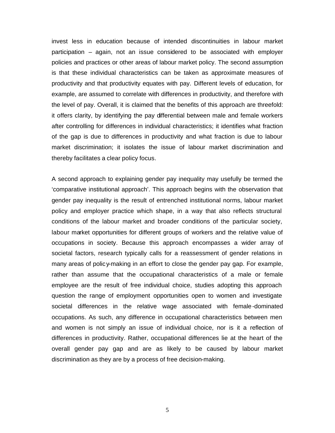invest less in education because of intended discontinuities in labour market participation – again, not an issue considered to be associated with employer policies and practices or other areas of labour market policy. The second assumption is that these individual characteristics can be taken as approximate measures of productivity and that productivity equates with pay. Different levels of education, for example, are assumed to correlate with differences in productivity, and therefore with the level of pay. Overall, it is claimed that the benefits of this approach are threefold: it offers clarity, by identifying the pay differential between male and female workers after controlling for differences in individual characteristics; it identifies what fraction of the gap is due to differences in productivity and what fraction is due to labour market discrimination; it isolates the issue of labour market discrimination and thereby facilitates a clear policy focus.

A second approach to explaining gender pay inequality may usefully be termed the 'comparative institutional approach'. This approach begins with the observation that gender pay inequality is the result of entrenched institutional norms, labour market policy and employer practice which shape, in a way that also reflects structural conditions of the labour market and broader conditions of the particular society, labour market opportunities for different groups of workers and the relative value of occupations in society. Because this approach encompasses a wider array of societal factors, research typically calls for a reassessment of gender relations in many areas of polic y-making in an effort to close the gender pay gap. For example, rather than assume that the occupational characteristics of a male or female employee are the result of free individual choice, studies adopting this approach question the range of employment opportunities open to women and investigate societal differences in the relative wage associated with female-dominated occupations. As such, any difference in occupational characteristics between men and women is not simply an issue of individual choice, nor is it a reflection of differences in productivity. Rather, occupational differences lie at the heart of the overall gender pay gap and are as likely to be caused by labour market discrimination as they are by a process of free decision-making.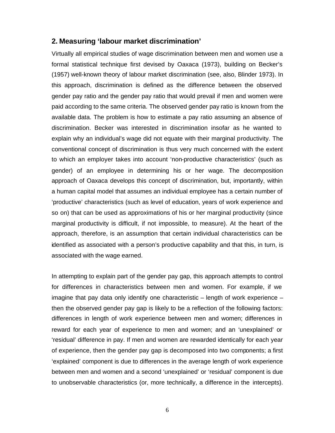### **2. Measuring 'labour market discrimination'**

Virtually all empirical studies of wage discrimination between men and women use a formal statistical technique first devised by Oaxaca (1973), building on Becker's (1957) well-known theory of labour market discrimination (see, also, Blinder 1973). In this approach, discrimination is defined as the difference between the observed gender pay ratio and the gender pay ratio that would prevail if men and women were paid according to the same criteria. The observed gender pay ratio is known from the available data. The problem is how to estimate a pay ratio assuming an absence of discrimination. Becker was interested in discrimination insofar as he wanted to explain why an individual's wage did not equate with their marginal productivity. The conventional concept of discrimination is thus very much concerned with the extent to which an employer takes into account 'non-productive characteristics' (such as gender) of an employee in determining his or her wage. The decomposition approach of Oaxaca develops this concept of discrimination, but, importantly, within a human capital model that assumes an individual employee has a certain number of 'productive' characteristics (such as level of education, years of work experience and so on) that can be used as approximations of his or her marginal productivity (since marginal productivity is difficult, if not impossible, to measure). At the heart of the approach, therefore, is an assumption that certain individual characteristics can be identified as associated with a person's productive capability and that this, in turn, is associated with the wage earned.

In attempting to explain part of the gender pay gap, this approach attempts to control for differences in characteristics between men and women. For example, if we imagine that pay data only identify one characteristic – length of work experience – then the observed gender pay gap is likely to be a reflection of the following factors: differences in length of work experience between men and women; differences in reward for each year of experience to men and women; and an 'unexplained' or 'residual' difference in pay. If men and women are rewarded identically for each year of experience, then the gender pay gap is decomposed into two components; a first 'explained' component is due to differences in the average length of work experience between men and women and a second 'unexplained' or 'residual' component is due to unobservable characteristics (or, more technically, a difference in the intercepts).

6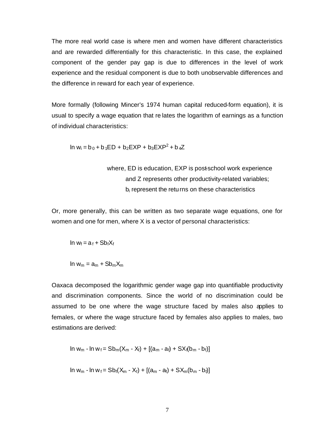The more real world case is where men and women have different characteristics and are rewarded differentially for this characteristic. In this case, the explained component of the gender pay gap is due to differences in the level of work experience and the residual component is due to both unobservable differences and the difference in reward for each year of experience.

More formally (following Mincer's 1974 human capital reduced-form equation), it is usual to specify a wage equation that re lates the logarithm of earnings as a function of individual characteristics:

$$
\ln w_i = b_0 + b_1 ED + b_2 EXP + b_3 EXP^2 + b_4 Z
$$

where, ED is education, EXP is post-school work experience and Z represents other productivity-related variables;  $b_i$  represent the returns on these characteristics

Or, more generally, this can be written as two separate wage equations, one for women and one for men, where X is a vector of personal characteristics:

$$
In w_f = a_f + Sb_fX_f
$$

$$
\ln w_m = a_m + Sb_m X_m
$$

Oaxaca decomposed the logarithmic gender wage gap into quantifiable productivity and discrimination components. Since the world of no discrimination could be assumed to be one where the wage structure faced by males also applies to females, or where the wage structure faced by females also applies to males, two estimations are derived:

In 
$$
w_m
$$
 - In  $w_f$  =  $Sb_m(X_m - X_f) + [(a_m - a_f) + SX_f(b_m - b_f)]$ 

In 
$$
w_m
$$
 - In  $w_f$  =  $Sb_f(X_m - X_f) + [(a_m - a_f) + SX_m(b_m - b_f)]$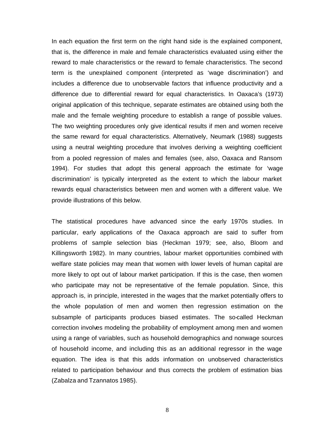In each equation the first term on the right hand side is the explained component, that is, the difference in male and female characteristics evaluated using either the reward to male characteristics or the reward to female characteristics. The second term is the unexplained component (interpreted as 'wage discrimination') and includes a difference due to unobservable factors that influence productivity and a difference due to differential reward for equal characteristics. In Oaxaca's (1973) original application of this technique, separate estimates are obtained using both the male and the female weighting procedure to establish a range of possible values. The two weighting procedures only give identical results if men and women receive the same reward for equal characteristics. Alternatively, Neumark (1988) suggests using a neutral weighting procedure that involves deriving a weighting coefficient from a pooled regression of males and females (see, also, Oaxaca and Ransom 1994). For studies that adopt this general approach the estimate for 'wage discrimination' is typically interpreted as the extent to which the labour market rewards equal characteristics between men and women with a different value. We provide illustrations of this below.

The statistical procedures have advanced since the early 1970s studies. In particular, early applications of the Oaxaca approach are said to suffer from problems of sample selection bias (Heckman 1979; see, also, Bloom and Killingsworth 1982). In many countries, labour market opportunities combined with welfare state policies may mean that women with lower levels of human capital are more likely to opt out of labour market participation. If this is the case, then women who participate may not be representative of the female population. Since, this approach is, in principle, interested in the wages that the market potentially offers to the whole population of men and women then regression estimation on the subsample of participants produces biased estimates. The so-called Heckman correction involves modeling the probability of employment among men and women using a range of variables, such as household demographics and nonwage sources of household income, and including this as an additional regressor in the wage equation. The idea is that this adds information on unobserved characteristics related to participation behaviour and thus corrects the problem of estimation bias (Zabalza and Tzannatos 1985).

8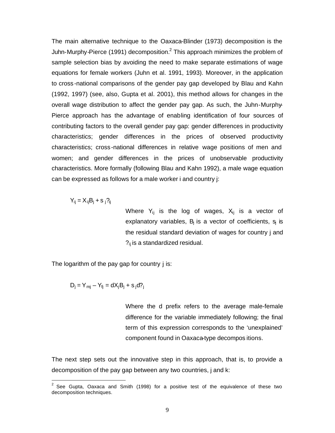The main alternative technique to the Oaxaca-Blinder (1973) decomposition is the Juhn-Murphy-Pierce (1991) decomposition.<sup>2</sup> This approach minimizes the problem of sample selection bias by avoiding the need to make separate estimations of wage equations for female workers (Juhn et al. 1991, 1993). Moreover, in the application to cross -national comparisons of the gender pay gap developed by Blau and Kahn (1992, 1997) (see, also, Gupta et al. 2001), this method allows for changes in the overall wage distribution to affect the gender pay gap. As such, the Juhn-Murphy-Pierce approach has the advantage of enabling identification of four sources of contributing factors to the overall gender pay gap: gender differences in productivity characteristics; gender differences in the prices of observed productivity characteristics; cross -national differences in relative wage positions of men and women; and gender differences in the prices of unobservable productivity characteristics. More formally (following Blau and Kahn 1992), a male wage equation can be expressed as follows for a male worker i and country j:

$$
Y_{ij} = X_{ij}B_j + s_j?_{ij}
$$

Where  $Y_{ij}$  is the log of wages,  $X_{ij}$  is a vector of explanatory variables,  $B_i$  is a vector of coefficients,  $s_i$  is the residual standard deviation of wages for country j and  $P_{ij}$  is a standardized residual.

The logarithm of the pay gap for country j is:

$$
D_j = Y_{mj} - Y_{fj} = dX_jB_j + s_jd
$$
?

Where the d prefix refers to the average male-female difference for the variable immediately following; the final term of this expression corresponds to the 'unexplained' component found in Oaxaca-type decompos itions.

The next step sets out the innovative step in this approach, that is, to provide a decomposition of the pay gap between any two countries, j and k:

 2 See Gupta, Oaxaca and Smith (1998) for a positive test of the equivalence of these two decomposition techniques.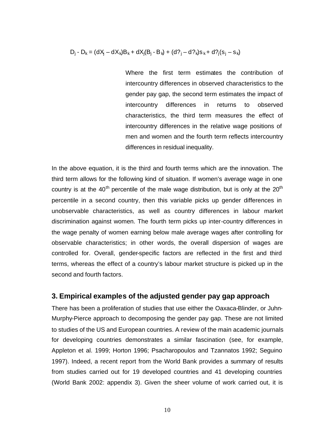$D_i - D_k = (dX_i - dX_k)B_k + dX_i(B_i - B_k) + (d?_i - d?_k)S_k + d?_i(S_i - S_k)$ 

Where the first term estimates the contribution of intercountry differences in observed characteristics to the gender pay gap, the second term estimates the impact of intercountry differences in returns to observed characteristics, the third term measures the effect of intercountry differences in the relative wage positions of men and women and the fourth term reflects intercountry differences in residual inequality.

In the above equation, it is the third and fourth terms which are the innovation. The third term allows for the following kind of situation. If women's average wage in one country is at the  $40<sup>th</sup>$  percentile of the male wage distribution, but is only at the  $20<sup>th</sup>$ percentile in a second country, then this variable picks up gender differences in unobservable characteristics, as well as country differences in labour market discrimination against women. The fourth term picks up inter-country differences in the wage penalty of women earning below male average wages after controlling for observable characteristics; in other words, the overall dispersion of wages are controlled for. Overall, gender-specific factors are reflected in the first and third terms, whereas the effect of a country's labour market structure is picked up in the second and fourth factors.

## **3. Empirical examples of the adjusted gender pay gap approach**

There has been a proliferation of studies that use either the Oaxaca-Blinder, or Juhn-Murphy-Pierce approach to decomposing the gender pay gap. These are not limited to studies of the US and European countries. A review of the main academic journals for developing countries demonstrates a similar fascination (see, for example, Appleton et al. 1999; Horton 1996; Psacharopoulos and Tzannatos 1992; Seguino 1997). Indeed, a recent report from the World Bank provides a summary of results from studies carried out for 19 developed countries and 41 developing countries (World Bank 2002: appendix 3). Given the sheer volume of work carried out, it is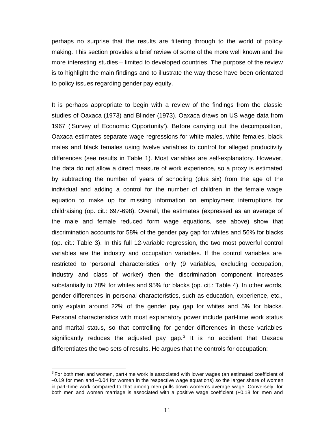perhaps no surprise that the results are filtering through to the world of policymaking. This section provides a brief review of some of the more well known and the more interesting studies – limited to developed countries. The purpose of the review is to highlight the main findings and to illustrate the way these have been orientated to policy issues regarding gender pay equity.

It is perhaps appropriate to begin with a review of the findings from the classic studies of Oaxaca (1973) and Blinder (1973). Oaxaca draws on US wage data from 1967 ('Survey of Economic Opportunity'). Before carrying out the decomposition, Oaxaca estimates separate wage regressions for white males, white females, black males and black females using twelve variables to control for alleged productivity differences (see results in Table 1). Most variables are self-explanatory. However, the data do not allow a direct measure of work experience, so a proxy is estimated by subtracting the number of years of schooling (plus six) from the age of the individual and adding a control for the number of children in the female wage equation to make up for missing information on employment interruptions for childraising (op. cit.: 697-698). Overall, the estimates (expressed as an average of the male and female reduced form wage equations, see above) show that discrimination accounts for 58% of the gender pay gap for whites and 56% for blacks (op. cit.: Table 3). In this full 12-variable regression, the two most powerful control variables are the industry and occupation variables. If the control variables are restricted to 'personal characteristics' only (9 variables, excluding occupation, industry and class of worker) then the discrimination component increases substantially to 78% for whites and 95% for blacks (op. cit.: Table 4). In other words, gender differences in personal characteristics, such as education, experience, etc., only explain around 22% of the gender pay gap for whites and 5% for blacks. Personal characteristics with most explanatory power include part-time work status and marital status, so that controlling for gender differences in these variables significantly reduces the adjusted pay gap. $3$  It is no accident that Oaxaca differentiates the two sets of results. He argues that the controls for occupation:

 $\overline{a}$ 

 $3$  For both men and women, part-time work is associated with lower wages (an estimated coefficient of –0.19 for men and –0.04 for women in the respective wage equations) so the larger share of women in part-time work compared to that among men pulls down women's average wage. Conversely, for both men and women marriage is associated with a positive wage coefficient (+0.18 for men and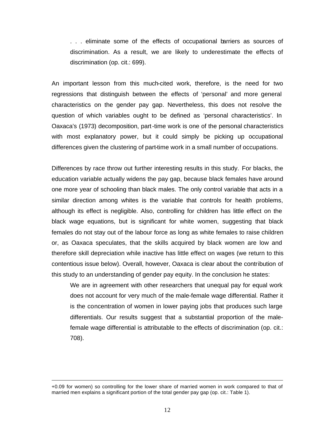. . . eliminate some of the effects of occupational barriers as sources of discrimination. As a result, we are likely to underestimate the effects of discrimination (op. cit.: 699).

An important lesson from this much-cited work, therefore, is the need for two regressions that distinguish between the effects of 'personal' and more general characteristics on the gender pay gap. Nevertheless, this does not resolve the question of which variables ought to be defined as 'personal characteristics'. In Oaxaca's (1973) decomposition, part-time work is one of the personal characteristics with most explanatory power, but it could simply be picking up occupational differences given the clustering of part-time work in a small number of occupations.

Differences by race throw out further interesting results in this study. For blacks, the education variable actually widens the pay gap, because black females have around one more year of schooling than black males. The only control variable that acts in a similar direction among whites is the variable that controls for health problems, although its effect is negligible. Also, controlling for children has little effect on the black wage equations, but is significant for white women, suggesting that black females do not stay out of the labour force as long as white females to raise children or, as Oaxaca speculates, that the skills acquired by black women are low and therefore skill depreciation while inactive has little effect on wages (we return to this contentious issue below). Overall, however, Oaxaca is clear about the contribution of this study to an understanding of gender pay equity. In the conclusion he states:

We are in agreement with other researchers that unequal pay for equal work does not account for very much of the male-female wage differential. Rather it is the concentration of women in lower paying jobs that produces such large differentials. Our results suggest that a substantial proportion of the malefemale wage differential is attributable to the effects of discrimination (op. cit.: 708).

l

<sup>+0.09</sup> for women) so controlling for the lower share of married women in work compared to that of married men explains a significant portion of the total gender pay gap (op. cit.: Table 1).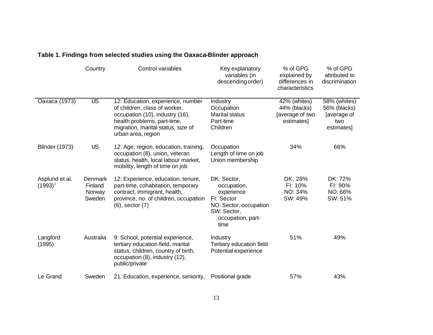|                                | Country                                | Control variables                                                                                                                                                                                | Key explanatory<br>variables (in<br>descending order)                                                                        | % of GPG<br>explained by<br>differences in<br>characteristics | % of GPG<br>attributed to<br>discrimination                      |
|--------------------------------|----------------------------------------|--------------------------------------------------------------------------------------------------------------------------------------------------------------------------------------------------|------------------------------------------------------------------------------------------------------------------------------|---------------------------------------------------------------|------------------------------------------------------------------|
| Oaxaca (1973)                  | $\overline{\text{US}}$                 | 12: Education, experience, number<br>of children, class of worker,<br>occupation (10), industry (16),<br>health problems, part-time,<br>migration, marital status, size of<br>urban area, region | <b>Industry</b><br>Occupation<br><b>Marital status</b><br>Part-time<br>Children                                              | 42% (whites)<br>44% (blacks)<br>[average of two<br>estimates] | 58% (whites)<br>56% (blacks)<br>[average of<br>two<br>estimates] |
| <b>Blinder (1973)</b>          | <b>US</b>                              | 12: Age, region, education, training,<br>occupation (8), union, veteran<br>status, health, local labour market,<br>mobility, length of time on job                                               | Occupation<br>Length of time on job<br>Union membership                                                                      | 34%                                                           | 66%                                                              |
| Asplund et al.<br>$(1993)^{1}$ | Denmark<br>Finland<br>Norway<br>Sweden | 12: Experience, education, tenure,<br>part-time, cohabitation, temporary<br>contract, immigrant, health,<br>province, no. of children, occupation<br>$(6)$ , sector $(7)$                        | DK: Sector,<br>occupation,<br>experience<br>FI: Sector<br>NO: Sector, occupation<br>SW: Sector,<br>occupation, part-<br>time | DK: 28%<br>FI: 10%<br>NO: 34%<br>SW: 49%                      | DK: 72%<br>FI: 90%<br>NO: 66%<br>SW: 51%                         |
| Langford<br>(1995)             | Australia                              | 9: School, potential experience,<br>tertiary education field, marital<br>status, children, country of birth,<br>occupation (8), industry (12),<br>public/private                                 | Industry<br>Tertiary education field<br>Potential experience                                                                 | 51%                                                           | 49%                                                              |
| Le Grand                       | Sweden                                 | 21: Education, experience, seniority,                                                                                                                                                            | Positional grade                                                                                                             | 57%                                                           | 43%                                                              |

# **Table 1. Findings from selected studies using the Oaxaca-Blinder approach**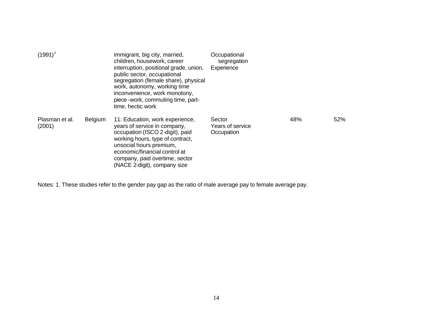| $(1991)^{1}$             |                | immigrant, big city, married,<br>children, housework, career<br>interruption, positional grade, union,<br>public sector, occupational<br>segregation (female share), physical<br>work, autonomy, working time<br>inconvenience, work monotony,<br>piece - work, commuting time, part-<br>time, hectic work | Occupational<br>segregation<br>Experience |     |     |
|--------------------------|----------------|------------------------------------------------------------------------------------------------------------------------------------------------------------------------------------------------------------------------------------------------------------------------------------------------------------|-------------------------------------------|-----|-----|
| Plasman et al.<br>(2001) | <b>Belgium</b> | 11: Education, work experience,<br>years of service in company,<br>occupation (ISCO 2-digit), paid<br>working hours, type of contract,<br>unsocial hours premium,<br>economic/financial control at<br>company, paid overtime, sector<br>(NACE 2-digit), company size                                       | Sector<br>Years of service<br>Occupation  | 48% | 52% |

Notes: 1. These studies refer to the gender pay gap as the ratio of male average pay to female average pay.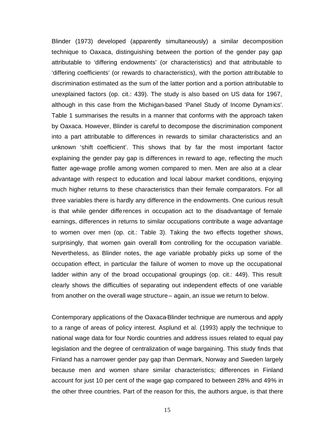Blinder (1973) developed (apparently simultaneously) a similar decomposition technique to Oaxaca, distinguishing between the portion of the gender pay gap attributable to 'differing endowments' (or characteristics) and that attributable to 'differing coefficients' (or rewards to characteristics), with the portion attributable to discrimination estimated as the sum of the latter portion and a portion attributable to unexplained factors (op. cit.: 439). The study is also based on US data for 1967, although in this case from the Michigan-based 'Panel Study of Income Dynamics'. Table 1 summarises the results in a manner that conforms with the approach taken by Oaxaca. However, Blinder is careful to decompose the discrimination component into a part attributable to differences in rewards to similar characteristics and an unknown 'shift coefficient'. This shows that by far the most important factor explaining the gender pay gap is differences in reward to age, reflecting the much flatter age-wage profile among women compared to men. Men are also at a clear advantage with respect to education and local labour market conditions, enjoying much higher returns to these characteristics than their female comparators. For all three variables there is hardly any difference in the endowments. One curious result is that while gender differences in occupation act to the disadvantage of female earnings, differences in returns to similar occupations contribute a wage advantage to women over men (op. cit.: Table 3). Taking the two effects together shows, surprisingly, that women gain overall from controlling for the occupation variable. Nevertheless, as Blinder notes, the age variable probably picks up some of the occupation effect, in particular the failure of women to move up the occupational ladder within any of the broad occupational groupings (op. cit.: 449). This result clearly shows the difficulties of separating out independent effects of one variable from another on the overall wage structure – again, an issue we return to below.

Contemporary applications of the Oaxaca-Blinder technique are numerous and apply to a range of areas of policy interest. Asplund et al. (1993) apply the technique to national wage data for four Nordic countries and address issues related to equal pay legislation and the degree of centralization of wage bargaining. This study finds that Finland has a narrower gender pay gap than Denmark, Norway and Sweden largely because men and women share similar characteristics; differences in Finland account for just 10 per cent of the wage gap compared to between 28% and 49% in the other three countries. Part of the reason for this, the authors argue, is that there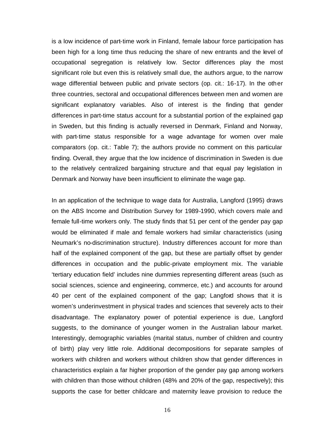is a low incidence of part-time work in Finland, female labour force participation has been high for a long time thus reducing the share of new entrants and the level of occupational segregation is relatively low. Sector differences play the most significant role but even this is relatively small due, the authors argue, to the narrow wage differential between public and private sectors (op. cit.: 16-17). In the other three countries, sectoral and occupational differences between men and women are significant explanatory variables. Also of interest is the finding that gender differences in part-time status account for a substantial portion of the explained gap in Sweden, but this finding is actually reversed in Denmark, Finland and Norway, with part-time status responsible for a wage advantage for women over male comparators (op. cit.: Table 7); the authors provide no comment on this particular finding. Overall, they argue that the low incidence of discrimination in Sweden is due to the relatively centralized bargaining structure and that equal pay legislation in Denmark and Norway have been insufficient to eliminate the wage gap.

In an application of the technique to wage data for Australia, Langford (1995) draws on the ABS Income and Distribution Survey for 1989-1990, which covers male and female full-time workers only. The study finds that 51 per cent of the gender pay gap would be eliminated if male and female workers had similar characteristics (using Neumark's no-discrimination structure). Industry differences account for more than half of the explained component of the gap, but these are partially offset by gender differences in occupation and the public-private employment mix. The variable 'tertiary education field' includes nine dummies representing different areas (such as social sciences, science and engineering, commerce, etc.) and accounts for around 40 per cent of the explained component of the gap; Langford shows that it is women's underinvestment in physical trades and sciences that severely acts to their disadvantage. The explanatory power of potential experience is due, Langford suggests, to the dominance of younger women in the Australian labour market. Interestingly, demographic variables (marital status, number of children and country of birth) play very little role. Additional decompositions for separate samples of workers with children and workers without children show that gender differences in characteristics explain a far higher proportion of the gender pay gap among workers with children than those without children (48% and 20% of the gap, respectively); this supports the case for better childcare and maternity leave provision to reduce the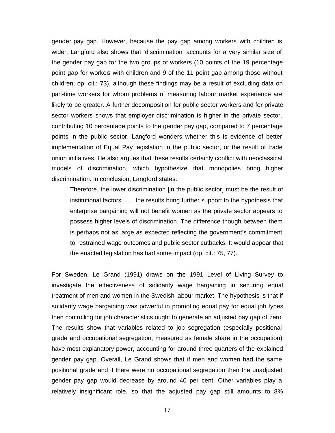gender pay gap. However, because the pay gap among workers with children is wider, Langford also shows that 'discrimination' accounts for a very similar size of the gender pay gap for the two groups of workers (10 points of the 19 percentage point gap for workers with children and 9 of the 11 point gap among those without children; op. cit.: 73), although these findings may be a result of excluding data on part-time workers for whom problems of measuring labour market experience are likely to be greater. A further decomposition for public sector workers and for private sector workers shows that employer discrimination is higher in the private sector, contributing 10 percentage points to the gender pay gap, compared to 7 percentage points in the public sector. Langford wonders whether this is evidence of better implementation of Equal Pay legislation in the public sector, or the result of trade union initiatives. He also argues that these results certainly conflict with neoclassical models of discrimination, which hypothesize that monopolies bring higher discrimination. In conclusion, Langford states:

Therefore, the lower discrimination [in the public sector] must be the result of institutional factors. . . . the results bring further support to the hypothesis that enterprise bargaining will not benefit women as the private sector appears to possess higher levels of discrimination. The difference though between them is perhaps not as large as expected reflecting the government's commitment to restrained wage outcomes and public sector cutbacks. It would appear that the enacted legislation has had some impact (op. cit.: 75, 77).

For Sweden, Le Grand (1991) draws on the 1991 Level of Living Survey to investigate the effectiveness of solidarity wage bargaining in securing equal treatment of men and women in the Swedish labour market. The hypothesis is that if solidarity wage bargaining was powerful in promoting equal pay for equal job types then controlling for job characteristics ought to generate an adjusted pay gap of zero. The results show that variables related to job segregation (especially positional grade and occupational segregation, measured as female share in the occupation) have most explanatory power, accounting for around three quarters of the explained gender pay gap. Overall, Le Grand shows that if men and women had the same positional grade and if there were no occupational segregation then the unadjusted gender pay gap would decrease by around 40 per cent. Other variables play a relatively insignificant role, so that the adjusted pay gap still amounts to 8%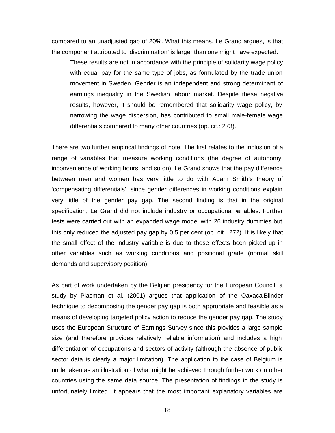compared to an unadjusted gap of 20%. What this means, Le Grand argues, is that the component attributed to 'discrimination' is larger than one might have expected.

These results are not in accordance with the principle of solidarity wage policy with equal pay for the same type of jobs, as formulated by the trade union movement in Sweden. Gender is an independent and strong determinant of earnings inequality in the Swedish labour market. Despite these negative results, however, it should be remembered that solidarity wage policy, by narrowing the wage dispersion, has contributed to small male-female wage differentials compared to many other countries (op. cit.: 273).

There are two further empirical findings of note. The first relates to the inclusion of a range of variables that measure working conditions (the degree of autonomy, inconvenience of working hours, and so on). Le Grand shows that the pay difference between men and women has very little to do with Adam Smith's theory of 'compensating differentials', since gender differences in working conditions explain very little of the gender pay gap. The second finding is that in the original specification, Le Grand did not include industry or occupational variables. Further tests were carried out with an expanded wage model with 26 industry dummies but this only reduced the adjusted pay gap by 0.5 per cent (op. cit.: 272). It is likely that the small effect of the industry variable is due to these effects been picked up in other variables such as working conditions and positional grade (normal skill demands and supervisory position).

As part of work undertaken by the Belgian presidency for the European Council, a study by Plasman et al. (2001) argues that application of the Oaxaca-Blinder technique to decomposing the gender pay gap is both appropriate and feasible as a means of developing targeted policy action to reduce the gender pay gap. The study uses the European Structure of Earnings Survey since this provides a large sample size (and therefore provides relatively reliable information) and includes a high differentiation of occupations and sectors of activity (although the absence of public sector data is clearly a major limitation). The application to the case of Belgium is undertaken as an illustration of what might be achieved through further work on other countries using the same data source. The presentation of findings in the study is unfortunately limited. It appears that the most important explanatory variables are

18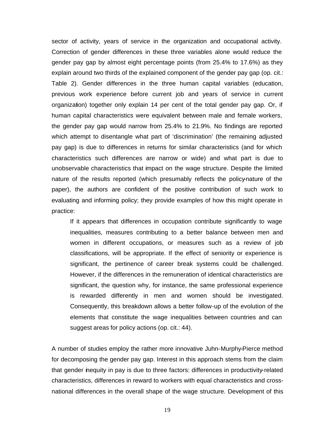sector of activity, years of service in the organization and occupational activity. Correction of gender differences in these three variables alone would reduce the gender pay gap by almost eight percentage points (from 25.4% to 17.6%) as they explain around two thirds of the explained component of the gender pay gap (op. cit.: Table 2). Gender differences in the three human capital variables (education, previous work experience before current job and years of service in current organization) together only explain 14 per cent of the total gender pay gap. Or, if human capital characteristics were equivalent between male and female workers, the gender pay gap would narrow from 25.4% to 21.9%. No findings are reported which attempt to disentangle what part of 'discrimination' (the remaining adjusted pay gap) is due to differences in returns for similar characteristics (and for which characteristics such differences are narrow or wide) and what part is due to unobservable characteristics that impact on the wage structure. Despite the limited nature of the results reported (which presumably reflects the policy-nature of the paper), the authors are confident of the positive contribution of such work to evaluating and informing policy; they provide examples of how this might operate in practice:

If it appears that differences in occupation contribute significantly to wage inequalities, measures contributing to a better balance between men and women in different occupations, or measures such as a review of job classifications, will be appropriate. If the effect of seniority or experience is significant, the pertinence of career break systems could be challenged. However, if the differences in the remuneration of identical characteristics are significant, the question why, for instance, the same professional experience is rewarded differently in men and women should be investigated. Consequently, this breakdown allows a better follow-up of the evolution of the elements that constitute the wage inequalities between countries and can suggest areas for policy actions (op. cit.: 44).

A number of studies employ the rather more innovative Juhn-Murphy-Pierce method for decomposing the gender pay gap. Interest in this approach stems from the claim that gender inequity in pay is due to three factors: differences in productivity-related characteristics, differences in reward to workers with equal characteristics and crossnational differences in the overall shape of the wage structure. Development of this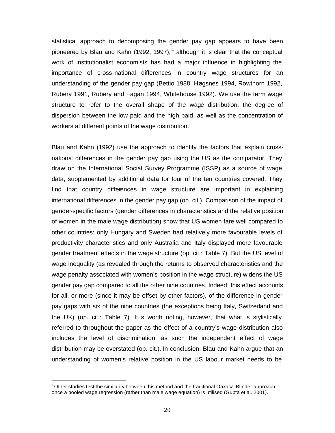statistical approach to decomposing the gender pay gap appears to have been pioneered by Blau and Kahn (1992, 1997),<sup>4</sup> although it is clear that the conceptual work of institutionalist economists has had a major influence in highlighting the importance of cross -national differences in country wage structures for an understanding of the gender pay gap (Bettio 1988, Høgsnes 1994, Rowthorn 1992, Rubery 1991, Rubery and Fagan 1994, Whitehouse 1992). We use the term wage structure to refer to the overall shape of the wage distribution, the degree of dispersion between the low paid and the high paid, as well as the concentration of workers at different points of the wage distribution.

Blau and Kahn (1992) use the approach to identify the factors that explain crossnational differences in the gender pay gap using the US as the comparator. They draw on the International Social Survey Programme (ISSP) as a source of wage data, supplemented by additional data for four of the ten countries covered. They find that country differences in wage structure are important in explaining international differences in the gender pay gap (op. cit.). Comparison of the impact of gender-specific factors (gender differences in characteristics and the relative position of women in the male wage distribution) show that US women fare well compared to other countries: only Hungary and Sweden had relatively more favourable levels of productivity characteristics and only Australia and Italy displayed more favourable gender treatment effects in the wage structure (op. cit.: Table 7). But the US level of wage inequality (as revealed through the returns to observed characteristics and the wage penalty associated with women's position in the wage structure) widens the US gender pay gap compared to all the other nine countries. Indeed, this effect accounts for all, or more (since it may be offset by other factors), of the difference in gender pay gaps with six of the nine countries (the exceptions being Italy, Switzerland and the UK) (op. cit.: Table 7). It is worth noting, however, that what is stylistically referred to throughout the paper as the effect of a country's wage distribution also includes the level of discrimination; as such the independent effect of wage distribution may be overstated (op. cit.). In conclusion, Blau and Kahn argue that an understanding of women's relative position in the US labour market needs to be

l

 $4$ Other studies test the similarity between this method and the traditional Oaxaca-Blinder approach, once a pooled wage regression (rather than male wage equation) is utilised (Gupta et al. 2001).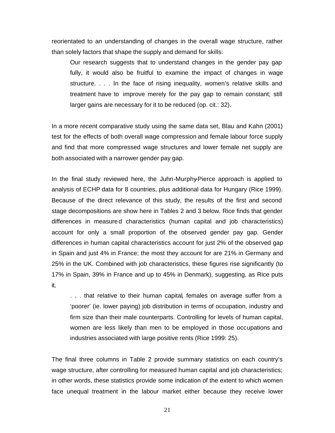reorientated to an understanding of changes in the overall wage structure, rather than solely factors that shape the supply and demand for skills:

Our research suggests that to understand changes in the gender pay gap fully, it would also be fruitful to examine the impact of changes in wage structure. . . . In the face of rising inequality, women's relative skills and treatment have to improve merely for the pay gap to remain constant; still larger gains are necessary for it to be reduced (op. cit.: 32).

In a more recent comparative study using the same data set, Blau and Kahn (2001) test for the effects of both overall wage compression and female labour force supply and find that more compressed wage structures and lower female net supply are both associated with a narrower gender pay gap.

In the final study reviewed here, the Juhn-Murphy-Pierce approach is applied to analysis of ECHP data for 8 countries, plus additional data for Hungary (Rice 1999). Because of the direct relevance of this study, the results of the first and second stage decompositions are show here in Tables 2 and 3 below. Rice finds that gender differences in measured characteristics (human capital and job characteristics) account for only a small proportion of the observed gender pay gap. Gender differences in human capital characteristics account for just 2% of the observed gap in Spain and just 4% in France; the most they account for are 21% in Germany and 25% in the UK. Combined with job characteristics, these figures rise significantly (to 17% in Spain, 39% in France and up to 45% in Denmark), suggesting, as Rice puts it,

. . . that relative to their human capital, females on average suffer from a 'poorer' (ie. lower paying) job distribution in terms of occupation, industry and firm size than their male counterparts. Controlling for levels of human capital, women are less likely than men to be employed in those occupations and industries associated with large positive rents (Rice 1999: 25).

The final three columns in Table 2 provide summary statistics on each country's wage structure, after controlling for measured human capital and job characteristics; in other words, these statistics provide some indication of the extent to which women face unequal treatment in the labour market either because they receive lower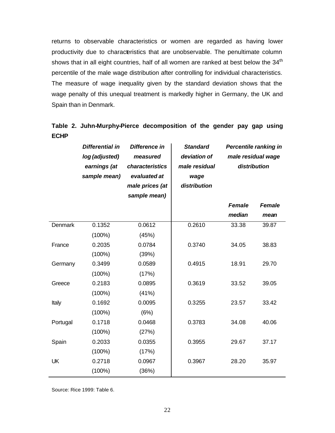returns to observable characteristics or women are regarded as having lower productivity due to characteristics that are unobservable. The penultimate column shows that in all eight countries, half of all women are ranked at best below the 34<sup>th</sup> percentile of the male wage distribution after controlling for individual characteristics. The measure of wage inequality given by the standard deviation shows that the wage penalty of this unequal treatment is markedly higher in Germany, the UK and Spain than in Denmark.

# **Table 2. Juhn-Murphy-Pierce decomposition of the gender pay gap using ECHP**

|                | <b>Differential in</b><br>log (adjusted)<br>earnings (at<br>sample mean) | Difference in<br>measured<br>characteristics<br>evaluated at<br>male prices (at<br>sample mean) | <b>Standard</b><br>deviation of<br>male residual<br>wage<br>distribution | <b>Percentile ranking in</b><br>male residual wage<br>distribution |               |
|----------------|--------------------------------------------------------------------------|-------------------------------------------------------------------------------------------------|--------------------------------------------------------------------------|--------------------------------------------------------------------|---------------|
|                |                                                                          |                                                                                                 |                                                                          | <b>Female</b>                                                      | <b>Female</b> |
|                |                                                                          |                                                                                                 |                                                                          | median                                                             | mean          |
| <b>Denmark</b> | 0.1352                                                                   | 0.0612                                                                                          | 0.2610                                                                   | 33.38                                                              | 39.87         |
|                | $(100\%)$                                                                | (45%)                                                                                           |                                                                          |                                                                    |               |
| France         | 0.2035                                                                   | 0.0784                                                                                          | 0.3740                                                                   | 34.05                                                              | 38.83         |
|                | $(100\%)$                                                                | (39%)                                                                                           |                                                                          |                                                                    |               |
| Germany        | 0.3499                                                                   | 0.0589                                                                                          | 0.4915                                                                   | 18.91                                                              | 29.70         |
|                | $(100\%)$                                                                | (17%)                                                                                           |                                                                          |                                                                    |               |
| Greece         | 0.2183                                                                   | 0.0895                                                                                          | 0.3619                                                                   | 33.52                                                              | 39.05         |
|                | $(100\%)$                                                                | (41%)                                                                                           |                                                                          |                                                                    |               |
| Italy          | 0.1692                                                                   | 0.0095                                                                                          | 0.3255                                                                   | 23.57                                                              | 33.42         |
|                | $(100\%)$                                                                | (6%)                                                                                            |                                                                          |                                                                    |               |
| Portugal       | 0.1718                                                                   | 0.0468                                                                                          | 0.3783                                                                   | 34.08                                                              | 40.06         |
|                | $(100\%)$                                                                | (27%)                                                                                           |                                                                          |                                                                    |               |
| Spain          | 0.2033                                                                   | 0.0355                                                                                          | 0.3955                                                                   | 29.67                                                              | 37.17         |
|                | $(100\%)$                                                                | (17%)                                                                                           |                                                                          |                                                                    |               |
| UK             | 0.2718                                                                   | 0.0967                                                                                          | 0.3967                                                                   | 28.20                                                              | 35.97         |
|                | $(100\%)$                                                                | (36%)                                                                                           |                                                                          |                                                                    |               |

Source: Rice 1999: Table 6.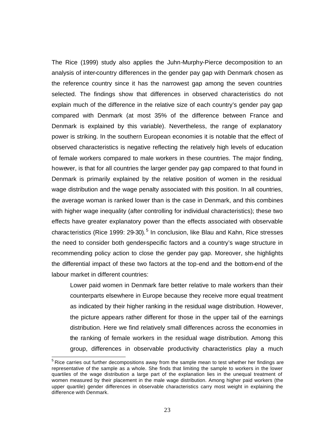The Rice (1999) study also applies the Juhn-Murphy-Pierce decomposition to an analysis of inter-country differences in the gender pay gap with Denmark chosen as the reference country since it has the narrowest gap among the seven countries selected. The findings show that differences in observed characteristics do not explain much of the difference in the relative size of each country's gender pay gap compared with Denmark (at most 35% of the difference between France and Denmark is explained by this variable). Nevertheless, the range of explanatory power is striking. In the southern European economies it is notable that the effect of observed characteristics is negative reflecting the relatively high levels of education of female workers compared to male workers in these countries. The major finding, however, is that for all countries the larger gender pay gap compared to that found in Denmark is primarily explained by the relative position of women in the residual wage distribution and the wage penalty associated with this position. In all countries, the average woman is ranked lower than is the case in Denmark, and this combines with higher wage inequality (after controlling for individual characteristics); these two effects have greater explanatory power than the effects associated with observable characteristics (Rice 1999: 29-30).<sup>5</sup> In conclusion, like Blau and Kahn, Rice stresses the need to consider both gender-specific factors and a country's wage structure in recommending policy action to close the gender pay gap. Moreover, she highlights the differential impact of these two factors at the top-end and the bottom-end of the labour market in different countries:

Lower paid women in Denmark fare better relative to male workers than their counterparts elsewhere in Europe because they receive more equal treatment as indicated by their higher ranking in the residual wage distribution. However, the picture appears rather different for those in the upper tail of the earnings distribution. Here we find relatively small differences across the economies in the ranking of female workers in the residual wage distribution. Among this group, differences in observable productivity characteristics play a much

 $\overline{a}$ 

 $5$  Rice carries out further decompositions away from the sample mean to test whether her findings are representative of the sample as a whole. She finds that limiting the sample to workers in the lower quartiles of the wage distribution a large part of the explanation lies in the unequal treatment of women measured by their placement in the male wage distribution. Among higher paid workers (the upper quartile) gender differences in observable characteristics carry most weight in explaining the difference with Denmark.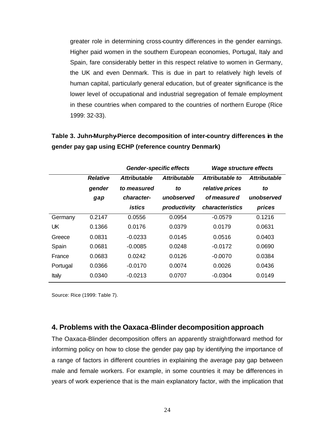greater role in determining cross-country differences in the gender earnings. Higher paid women in the southern European economies, Portugal, Italy and Spain, fare considerably better in this respect relative to women in Germany, the UK and even Denmark. This is due in part to relatively high levels of human capital, particularly general education, but of greater significance is the lower level of occupational and industrial segregation of female employment in these countries when compared to the countries of northern Europe (Rice 1999: 32-33).

| Table 3. Juhn-Murphy-Pierce decomposition of inter-country differences in the |  |
|-------------------------------------------------------------------------------|--|
| gender pay gap using ECHP (reference country Denmark)                         |  |

|          |                 | <b>Gender-specific effects</b> |                     | <b>Wage structure effects</b> |                     |
|----------|-----------------|--------------------------------|---------------------|-------------------------------|---------------------|
|          | <b>Relative</b> | <b>Attributable</b>            | <b>Attributable</b> | Attributable to               | <b>Attributable</b> |
|          | gender          | to measured                    | to                  | relative prices               | to                  |
|          | gap             | character-                     | unobserved          | of measure d                  | unobserved          |
|          |                 | istics                         | productivity        | characteristics               | prices              |
| Germany  | 0.2147          | 0.0556                         | 0.0954              | $-0.0579$                     | 0.1216              |
| UK       | 0.1366          | 0.0176                         | 0.0379              | 0.0179                        | 0.0631              |
| Greece   | 0.0831          | $-0.0233$                      | 0.0145              | 0.0516                        | 0.0403              |
| Spain    | 0.0681          | $-0.0085$                      | 0.0248              | $-0.0172$                     | 0.0690              |
| France   | 0.0683          | 0.0242                         | 0.0126              | $-0.0070$                     | 0.0384              |
| Portugal | 0.0366          | $-0.0170$                      | 0.0074              | 0.0026                        | 0.0436              |
| Italy    | 0.0340          | $-0.0213$                      | 0.0707              | $-0.0304$                     | 0.0149              |

Source: Rice (1999: Table 7).

### **4. Problems with the Oaxaca-Blinder decomposition approach**

The Oaxaca-Blinder decomposition offers an apparently straightforward method for informing policy on how to close the gender pay gap by identifying the importance of a range of factors in different countries in explaining the average pay gap between male and female workers. For example, in some countries it may be differences in years of work experience that is the main explanatory factor, with the implication that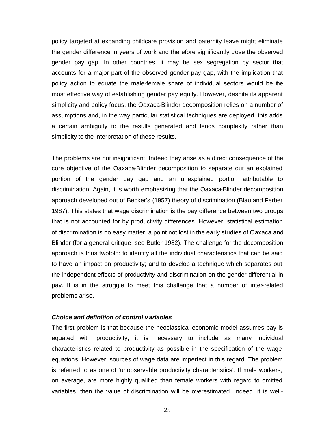policy targeted at expanding childcare provision and paternity leave might eliminate the gender difference in years of work and therefore significantly close the observed gender pay gap. In other countries, it may be sex segregation by sector that accounts for a major part of the observed gender pay gap, with the implication that policy action to equate the male-female share of individual sectors would be the most effective way of establishing gender pay equity. However, despite its apparent simplicity and policy focus, the Oaxaca-Blinder decomposition relies on a number of assumptions and, in the way particular statistical techniques are deployed, this adds a certain ambiguity to the results generated and lends complexity rather than simplicity to the interpretation of these results.

The problems are not insignificant. Indeed they arise as a direct consequence of the core objective of the Oaxaca-Blinder decomposition to separate out an explained portion of the gender pay gap and an unexplained portion attributable to discrimination. Again, it is worth emphasizing that the Oaxaca-Blinder decomposition approach developed out of Becker's (1957) theory of discrimination (Blau and Ferber 1987). This states that wage discrimination is the pay difference between two groups that is not accounted for by productivity differences. However, statistical estimation of discrimination is no easy matter, a point not lost in the early studies of Oaxaca and Blinder (for a general critique, see Butler 1982). The challenge for the decomposition approach is thus twofold: to identify all the individual characteristics that can be said to have an impact on productivity; and to develop a technique which separates out the independent effects of productivity and discrimination on the gender differential in pay. It is in the struggle to meet this challenge that a number of inter-related problems arise.

#### *Choice and definition of control variables*

The first problem is that because the neoclassical economic model assumes pay is equated with productivity, it is necessary to include as many individual characteristics related to productivity as possible in the specification of the wage equations. However, sources of wage data are imperfect in this regard. The problem is referred to as one of 'unobservable productivity characteristics'. If male workers, on average, are more highly qualified than female workers with regard to omitted variables, then the value of discrimination will be overestimated. Indeed, it is well-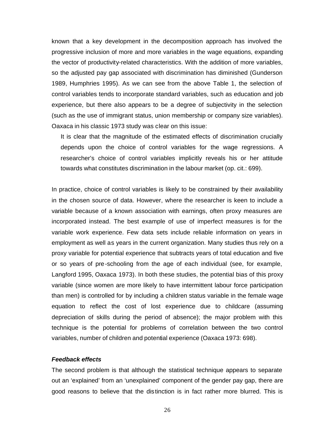known that a key development in the decomposition approach has involved the progressive inclusion of more and more variables in the wage equations, expanding the vector of productivity-related characteristics. With the addition of more variables, so the adjusted pay gap associated with discrimination has diminished (Gunderson 1989, Humphries 1995). As we can see from the above Table 1, the selection of control variables tends to incorporate standard variables, such as education and job experience, but there also appears to be a degree of subjectivity in the selection (such as the use of immigrant status, union membership or company size variables). Oaxaca in his classic 1973 study was clear on this issue:

It is clear that the magnitude of the estimated effects of discrimination crucially depends upon the choice of control variables for the wage regressions. A researcher's choice of control variables implicitly reveals his or her attitude towards what constitutes discrimination in the labour market (op. cit.: 699).

In practice, choice of control variables is likely to be constrained by their availability in the chosen source of data. However, where the researcher is keen to include a variable because of a known association with earnings, often proxy measures are incorporated instead. The best example of use of imperfect measures is for the variable work experience. Few data sets include reliable information on years in employment as well as years in the current organization. Many studies thus rely on a proxy variable for potential experience that subtracts years of total education and five or so years of pre-schooling from the age of each individual (see, for example, Langford 1995, Oaxaca 1973). In both these studies, the potential bias of this proxy variable (since women are more likely to have intermittent labour force participation than men) is controlled for by including a children status variable in the female wage equation to reflect the cost of lost experience due to childcare (assuming depreciation of skills during the period of absence); the major problem with this technique is the potential for problems of correlation between the two control variables, number of children and potential experience (Oaxaca 1973: 698).

#### *Feedback effects*

The second problem is that although the statistical technique appears to separate out an 'explained' from an 'unexplained' component of the gender pay gap, there are good reasons to believe that the distinction is in fact rather more blurred. This is

26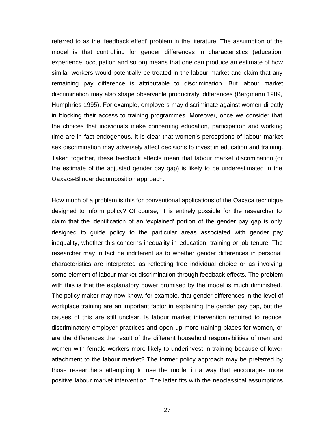referred to as the 'feedback effect' problem in the literature. The assumption of the model is that controlling for gender differences in characteristics (education, experience, occupation and so on) means that one can produce an estimate of how similar workers would potentially be treated in the labour market and claim that any remaining pay difference is attributable to discrimination. But labour market discrimination may also shape observable productivity differences (Bergmann 1989, Humphries 1995). For example, employers may discriminate against women directly in blocking their access to training programmes. Moreover, once we consider that the choices that individuals make concerning education, participation and working time are in fact endogenous, it is clear that women's perceptions of labour market sex discrimination may adversely affect decisions to invest in education and training. Taken together, these feedback effects mean that labour market discrimination (or the estimate of the adjusted gender pay gap) is likely to be underestimated in the Oaxaca-Blinder decomposition approach.

How much of a problem is this for conventional applications of the Oaxaca technique designed to inform policy? Of course, it is entirely possible for the researcher to claim that the identification of an 'explained' portion of the gender pay gap is only designed to guide policy to the particular areas associated with gender pay inequality, whether this concerns inequality in education, training or job tenure. The researcher may in fact be indifferent as to whether gender differences in personal characteristics are interpreted as reflecting free individual choice or as involving some element of labour market discrimination through feedback effects. The problem with this is that the explanatory power promised by the model is much diminished. The policy-maker may now know, for example, that gender differences in the level of workplace training are an important factor in explaining the gender pay gap, but the causes of this are still unclear. Is labour market intervention required to reduce discriminatory employer practices and open up more training places for women, or are the differences the result of the different household responsibilities of men and women with female workers more likely to underinvest in training because of lower attachment to the labour market? The former policy approach may be preferred by those researchers attempting to use the model in a way that encourages more positive labour market intervention. The latter fits with the neoclassical assumptions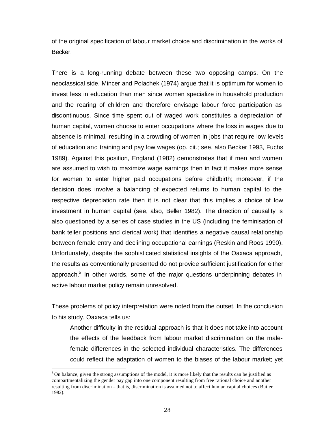of the original specification of labour market choice and discrimination in the works of Becker.

There is a long-running debate between these two opposing camps. On the neoclassical side, Mincer and Polachek (1974) argue that it is optimum for women to invest less in education than men since women specialize in household production and the rearing of children and therefore envisage labour force participation as discontinuous. Since time spent out of waged work constitutes a depreciation of human capital, women choose to enter occupations where the loss in wages due to absence is minimal, resulting in a crowding of women in jobs that require low levels of education and training and pay low wages (op. cit.; see, also Becker 1993, Fuchs 1989). Against this position, England (1982) demonstrates that if men and women are assumed to wish to maximize wage earnings then in fact it makes more sense for women to enter higher paid occupations before childbirth; moreover, if the decision does involve a balancing of expected returns to human capital to the respective depreciation rate then it is not clear that this implies a choice of low investment in human capital (see, also, Beller 1982). The direction of causality is also questioned by a series of case studies in the US (including the feminisation of bank teller positions and clerical work) that identifies a negative causal relationship between female entry and declining occupational earnings (Reskin and Roos 1990). Unfortunately, despite the sophisticated statistical insights of the Oaxaca approach, the results as conventionally presented do not provide sufficient justification for either approach.<sup>6</sup> In other words, some of the major questions underpinning debates in active labour market policy remain unresolved.

These problems of policy interpretation were noted from the outset. In the conclusion to his study, Oaxaca tells us:

Another difficulty in the residual approach is that it does not take into account the effects of the feedback from labour market discrimination on the malefemale differences in the selected individual characteristics. The differences could reflect the adaptation of women to the biases of the labour market; yet

 $\overline{a}$ 

 $6$  On balance, given the strong assumptions of the model, it is more likely that the results can be justified as compartmentalizing the gender pay gap into one component resulting from free rational choice and another resulting from discrimination – that is, discrimination is assumed not to affect human capital choices (Butler 1982).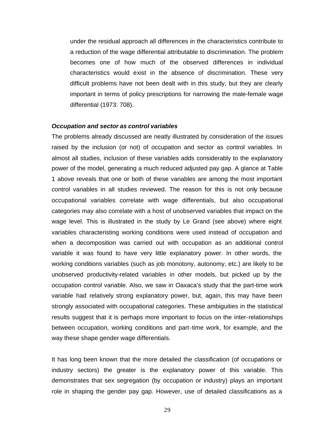under the residual approach all differences in the characteristics contribute to a reduction of the wage differential attributable to discrimination. The problem becomes one of how much of the observed differences in individual characteristics would exist in the absence of discrimination. These very difficult problems have not been dealt with in this study, but they are clearly important in terms of policy prescriptions for narrowing the male-female wage differential (1973: 708).

#### *Occupation and sector as control variables*

The problems already discussed are neatly illustrated by consideration of the issues raised by the inclusion (or not) of occupation and sector as control variables. In almost all studies, inclusion of these variables adds considerably to the explanatory power of the model, generating a much reduced adjusted pay gap. A glance at Table 1 above reveals that one or both of these variables are among the most important control variables in all studies reviewed. The reason for this is not only because occupational variables correlate with wage differentials, but also occupational categories may also correlate with a host of unobserved variables that impact on the wage level. This is illustrated in the study by Le Grand (see above) where eight variables characteristing working conditions were used instead of occupation and when a decomposition was carried out with occupation as an additional control variable it was found to have very little explanatory power. In other words, the working conditions variables (such as job monotony, autonomy, etc.) are likely to be unobserved productivity-related variables in other models, but picked up by the occupation control variable. Also, we saw in Oaxaca's study that the part-time work variable had relatively strong explanatory power, but, again, this may have been strongly associated with occupational categories. These ambiguities in the statistical results suggest that it is perhaps more important to focus on the inter-relationships between occupation, working conditions and part-time work, for example, and the way these shape gender wage differentials.

It has long been known that the more detailed the classification (of occupations or industry sectors) the greater is the explanatory power of this variable. This demonstrates that sex segregation (by occupation or industry) plays an important role in shaping the gender pay gap. However, use of detailed classifications as a

29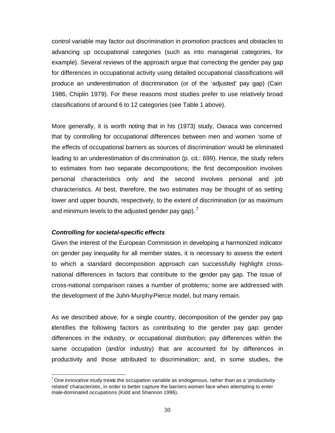control variable may factor out discrimination in promotion practices and obstacles to advancing up occupational categories (such as into managerial categories, for example). Several reviews of the approach argue that correcting the gender pay gap for differences in occupational activity using detailed occupational classifications will produce an underestimation of discrimination (or of the 'adjusted' pay gap) (Cain 1986, Chiplin 1979). For these reasons most studies prefer to use relatively broad classifications of around 6 to 12 categories (see Table 1 above).

More generally, it is worth noting that in his (1973) study, Oaxaca was concerned that by controlling for occupational differences between men and women 'some of the effects of occupational barriers as sources of discrimination' would be eliminated leading to an underestimation of dis crimination (p. cit.: 699). Hence, the study refers to estimates from two separate decompositions; the first decomposition involves personal characteristics only and the second involves personal and job characteristics. At best, therefore, the two estimates may be thought of as setting lower and upper bounds, respectively, to the extent of discrimination (or as maximum and minimum levels to the adjusted gender pay gap).  $7\,$ 

#### *Controlling for societal-specific effects*

l

Given the interest of the European Commission in developing a harmonized indicator on gender pay inequality for all member states, it is necessary to assess the extent to which a standard decomposition approach can successfully highlight crossnational differences in factors that contribute to the gender pay gap. The issue of cross-national comparison raises a number of problems; some are addressed with the development of the Juhn-Murphy-Pierce model, but many remain.

As we described above, for a single country, decomposition of the gender pay gap identifies the following factors as contributing to the gender pay gap: gender differences in the industry, or occupational distribution; pay differences within the same occupation (and/or industry) that are accounted for by differences in productivity and those attributed to discrimination; and, in some studies, the

<sup>&</sup>lt;sup>7</sup> One innovative study treats the occupation variable as endogenous, rather than as a 'productivityrelated' characteristic, in order to better capture the barriers women face when attempting to enter male-dominated occupations (Kidd and Shannon 1996).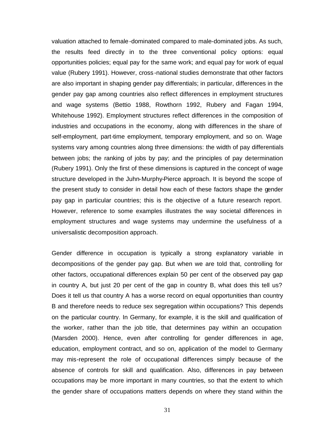valuation attached to female-dominated compared to male-dominated jobs. As such, the results feed directly in to the three conventional policy options: equal opportunities policies; equal pay for the same work; and equal pay for work of equal value (Rubery 1991). However, cross -national studies demonstrate that other factors are also important in shaping gender pay differentials; in particular, differences in the gender pay gap among countries also reflect differences in employment structures and wage systems (Bettio 1988, Rowthorn 1992, Rubery and Fagan 1994, Whitehouse 1992). Employment structures reflect differences in the composition of industries and occupations in the economy, along with differences in the share of self-employment, part-time employment, temporary employment, and so on. Wage systems vary among countries along three dimensions: the width of pay differentials between jobs; the ranking of jobs by pay; and the principles of pay determination (Rubery 1991). Only the first of these dimensions is captured in the concept of wage structure developed in the Juhn-Murphy-Pierce approach. It is beyond the scope of the present study to consider in detail how each of these factors shape the gender pay gap in particular countries; this is the objective of a future research report. However, reference to some examples illustrates the way societal differences in employment structures and wage systems may undermine the usefulness of a universalistic decomposition approach.

Gender difference in occupation is typically a strong explanatory variable in decompositions of the gender pay gap. But when we are told that, controlling for other factors, occupational differences explain 50 per cent of the observed pay gap in country A, but just 20 per cent of the gap in country B, what does this tell us? Does it tell us that country A has a worse record on equal opportunities than country B and therefore needs to reduce sex segregation within occupations? This depends on the particular country. In Germany, for example, it is the skill and qualification of the worker, rather than the job title, that determines pay within an occupation (Marsden 2000). Hence, even after controlling for gender differences in age, education, employment contract, and so on, application of the model to Germany may mis-represent the role of occupational differences simply because of the absence of controls for skill and qualification. Also, differences in pay between occupations may be more important in many countries, so that the extent to which the gender share of occupations matters depends on where they stand within the

31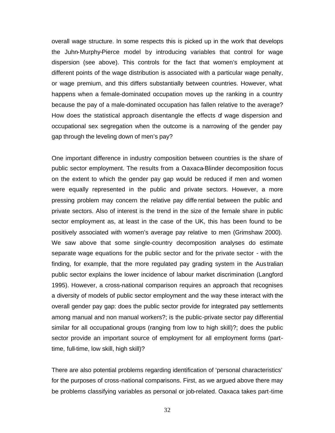overall wage structure. In some respects this is picked up in the work that develops the Juhn-Murphy-Pierce model by introducing variables that control for wage dispersion (see above). This controls for the fact that women's employment at different points of the wage distribution is associated with a particular wage penalty, or wage premium, and this differs substantially between countries. However, what happens when a female-dominated occupation moves up the ranking in a country because the pay of a male-dominated occupation has fallen relative to the average? How does the statistical approach disentangle the effects of wage dispersion and occupational sex segregation when the outcome is a narrowing of the gender pay gap through the leveling down of men's pay?

One important difference in industry composition between countries is the share of public sector employment. The results from a Oaxaca-Blinder decomposition focus on the extent to which the gender pay gap would be reduced if men and women were equally represented in the public and private sectors. However, a more pressing problem may concern the relative pay diffe rential between the public and private sectors. Also of interest is the trend in the size of the female share in public sector employment as, at least in the case of the UK, this has been found to be positively associated with women's average pay relative to men (Grimshaw 2000). We saw above that some single-country decomposition analyses do estimate separate wage equations for the public sector and for the private sector - with the finding, for example, that the more regulated pay grading system in the Aus tralian public sector explains the lower incidence of labour market discrimination (Langford 1995). However, a cross-national comparison requires an approach that recognises a diversity of models of public sector employment and the way these interact with the overall gender pay gap: does the public sector provide for integrated pay settlements among manual and non manual workers?; is the public-private sector pay differential similar for all occupational groups (ranging from low to high skill)?; does the public sector provide an important source of employment for all employment forms (parttime, full-time, low skill, high skill)?

There are also potential problems regarding identification of 'personal characteristics' for the purposes of cross-national comparisons. First, as we argued above there may be problems classifying variables as personal or job-related. Oaxaca takes part-time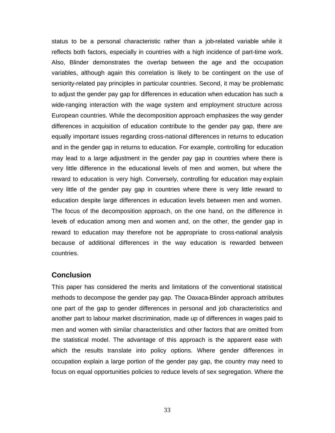status to be a personal characteristic rather than a job-related variable while it reflects both factors, especially in countries with a high incidence of part-time work. Also, Blinder demonstrates the overlap between the age and the occupation variables, although again this correlation is likely to be contingent on the use of seniority-related pay principles in particular countries. Second, it may be problematic to adjust the gender pay gap for differences in education when education has such a wide-ranging interaction with the wage system and employment structure across European countries. While the decomposition approach emphasizes the way gender differences in acquisition of education contribute to the gender pay gap, there are equally important issues regarding cross-national differences in returns to education and in the gender gap in returns to education. For example, controlling for education may lead to a large adjustment in the gender pay gap in countries where there is very little difference in the educational levels of men and women, but where the reward to education is very high. Conversely, controlling for education may explain very little of the gender pay gap in countries where there is very little reward to education despite large differences in education levels between men and women. The focus of the decomposition approach, on the one hand, on the difference in levels of education among men and women and, on the other, the gender gap in reward to education may therefore not be appropriate to cross-national analysis because of additional differences in the way education is rewarded between countries.

### **Conclusion**

This paper has considered the merits and limitations of the conventional statistical methods to decompose the gender pay gap. The Oaxaca-Blinder approach attributes one part of the gap to gender differences in personal and job characteristics and another part to labour market discrimination, made up of differences in wages paid to men and women with similar characteristics and other factors that are omitted from the statistical model. The advantage of this approach is the apparent ease with which the results translate into policy options. Where gender differences in occupation explain a large portion of the gender pay gap, the country may need to focus on equal opportunities policies to reduce levels of sex segregation. Where the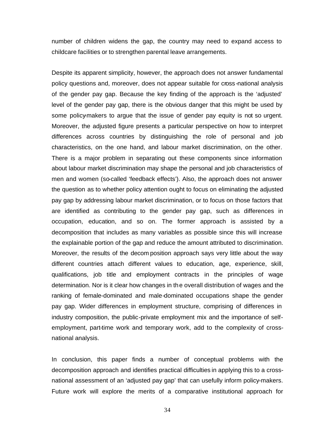number of children widens the gap, the country may need to expand access to childcare facilities or to strengthen parental leave arrangements.

Despite its apparent simplicity, however, the approach does not answer fundamental policy questions and, moreover, does not appear suitable for cross -national analysis of the gender pay gap. Because the key finding of the approach is the 'adjusted' level of the gender pay gap, there is the obvious danger that this might be used by some policy-makers to argue that the issue of gender pay equity is not so urgent. Moreover, the adjusted figure presents a particular perspective on how to interpret differences across countries by distinguishing the role of personal and job characteristics, on the one hand, and labour market discrimination, on the other. There is a major problem in separating out these components since information about labour market discrimination may shape the personal and job characteristics of men and women (so-called 'feedback effects'). Also, the approach does not answer the question as to whether policy attention ought to focus on eliminating the adjusted pay gap by addressing labour market discrimination, or to focus on those factors that are identified as contributing to the gender pay gap, such as differences in occupation, education, and so on. The former approach is assisted by a decomposition that includes as many variables as possible since this will increase the explainable portion of the gap and reduce the amount attributed to discrimination. Moreover, the results of the decom position approach says very little about the way different countries attach different values to education, age, experience, skill, qualifications, job title and employment contracts in the principles of wage determination. Nor is it clear how changes in the overall distribution of wages and the ranking of female-dominated and male-dominated occupations shape the gender pay gap. Wider differences in employment structure, comprising of differences in industry composition, the public-private employment mix and the importance of selfemployment, part-time work and temporary work, add to the complexity of crossnational analysis.

In conclusion, this paper finds a number of conceptual problems with the decomposition approach and identifies practical difficulties in applying this to a crossnational assessment of an 'adjusted pay gap' that can usefully inform policy-makers. Future work will explore the merits of a comparative institutional approach for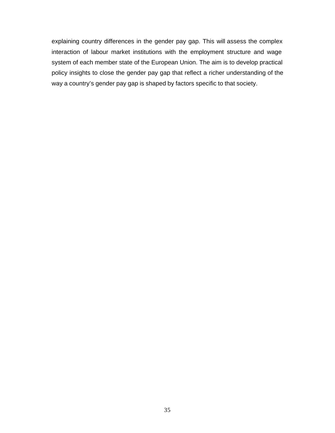explaining country differences in the gender pay gap. This will assess the complex interaction of labour market institutions with the employment structure and wage system of each member state of the European Union. The aim is to develop practical policy insights to close the gender pay gap that reflect a richer understanding of the way a country's gender pay gap is shaped by factors specific to that society.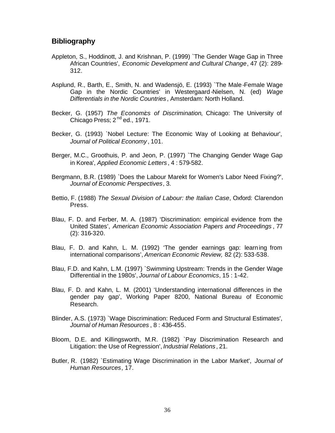## **Bibliography**

- Appleton, S., Hoddinott, J. and Krishnan, P. (1999) `The Gender Wage Gap in Three African Countries', *Economic Development and Cultural Change*, 47 (2): 289- 312.
- Asplund, R., Barth, E., Smith, N. and Wadensjö, E. (1993) `The Male-Female Wage Gap in the Nordic Countries' in Westergaard-Nielsen, N. (ed) *Wage Differentials in the Nordic Countries* , Amsterdam: North Holland.
- Becker, G. (1957) *The Economics of Discrimination*, Chicago: The University of Chicago Press;  $2<sup>nd</sup>$ ed., 1971.
- Becker, G. (1993) `Nobel Lecture: The Economic Way of Looking at Behaviour', *Journal of Political Economy* , 101.
- Berger, M.C., Groothuis, P. and Jeon, P. (1997) `The Changing Gender Wage Gap in Korea', *Applied Economic Letters* , 4 : 579-582.
- Bergmann, B.R. (1989) `Does the Labour Marekt for Women's Labor Need Fixing?', *Journal of Economic Perspectives*, 3.
- Bettio, F. (1988) *The Sexual Division of Labour: the Italian Case*, Oxford: Clarendon Press.
- Blau, F. D. and Ferber, M. A. (1987) 'Discrimination: empirical evidence from the United States', *American Economic Association Papers and Proceedings* , 77 (2): 316-320.
- Blau, F. D. and Kahn, L. M. (1992) 'The gender earnings gap: learning from international comparisons', *American Economic Review,* 82 (2): 533-538.
- Blau, F.D. and Kahn, L.M. (1997) `Swimming Upstream: Trends in the Gender Wage Differential in the 1980s', *Journal of Labour Economics*, 15 : 1-42.
- Blau, F. D. and Kahn, L. M. (2001) 'Understanding international differences in the gender pay gap', Working Paper 8200, National Bureau of Economic Research.
- Blinder, A.S. (1973) `Wage Discrimination: Reduced Form and Structural Estimates', *Journal of Human Resources* , 8 : 436-455.
- Bloom, D.E. and Killingsworth, M.R. (1982) `Pay Discrimination Research and Litigation: the Use of Regression', *Industrial Relations* , 21.
- Butler, R. (1982) `Estimating Wage Discrimination in the Labor Market', *Journal of Human Resources*, 17.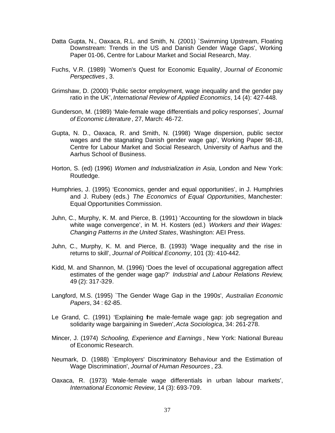- Datta Gupta, N., Oaxaca, R.L. and Smith, N. (2001) `Swimming Upstream, Floating Downstream: Trends in the US and Danish Gender Wage Gaps', Working Paper 01-06, Centre for Labour Market and Social Research, May.
- Fuchs, V.R. (1989) `Women's Quest for Economic Equality', *Journal of Economic Perspectives* , 3.
- Grimshaw, D. (2000) 'Public sector employment, wage inequality and the gender pay ratio in the UK', *International Review of Applied Economics*, 14 (4): 427-448.
- Gunderson, M. (1989) 'Male-female wage differentials and policy responses', *Journal of Economic Literature*, 27, March: 46-72.
- Gupta, N. D., Oaxaca, R. and Smith, N. (1998) 'Wage dispersion, public sector wages and the stagnating Danish gender wage gap', Working Paper 98-18, Centre for Labour Market and Social Research, University of Aarhus and the Aarhus School of Business.
- Horton, S. (ed) (1996) *Women and Industrialization in Asia*, London and New York: Routledge.
- Humphries, J. (1995) 'Economics, gender and equal opportunities', in J. Humphries and J. Rubery (eds.) *The Economics of Equal Opportunities*, Manchester: Equal Opportunities Commission.
- Juhn, C., Murphy, K. M. and Pierce, B. (1991) 'Accounting for the slowdown in blackwhite wage convergence', in M. H. Kosters (ed.) *Workers and their Wages: Changing Patterns in the United States*, Washington: AEI Press.
- Juhn, C., Murphy, K. M. and Pierce, B. (1993) 'Wage inequality and the rise in returns to skill', *Journal of Political Economy*, 101 (3): 410-442.
- Kidd, M. and Shannon, M. (1996) 'Does the level of occupational aggregation affect estimates of the gender wage gap?' *Industrial and Labour Relations Review*, 49 (2): 317-329.
- Langford, M.S. (1995) `The Gender Wage Gap in the 1990s', *Australian Economic Papers*, 34 : 62-85.
- Le Grand, C. (1991) 'Explaining the male-female wage gap: job segregation and solidarity wage bargaining in Sweden', *Acta Sociologica*, 34: 261-278.
- Mincer, J. (1974) *Schooling, Experience and Earnings* , New York: National Bureau of Economic Research.
- Neumark, D. (1988) `Employers' Discriminatory Behaviour and the Estimation of Wage Discrimination', *Journal of Human Resources* , 23.
- Oaxaca, R. (1973) 'Male-female wage differentials in urban labour markets', *International Economic Review*, 14 (3): 693-709.